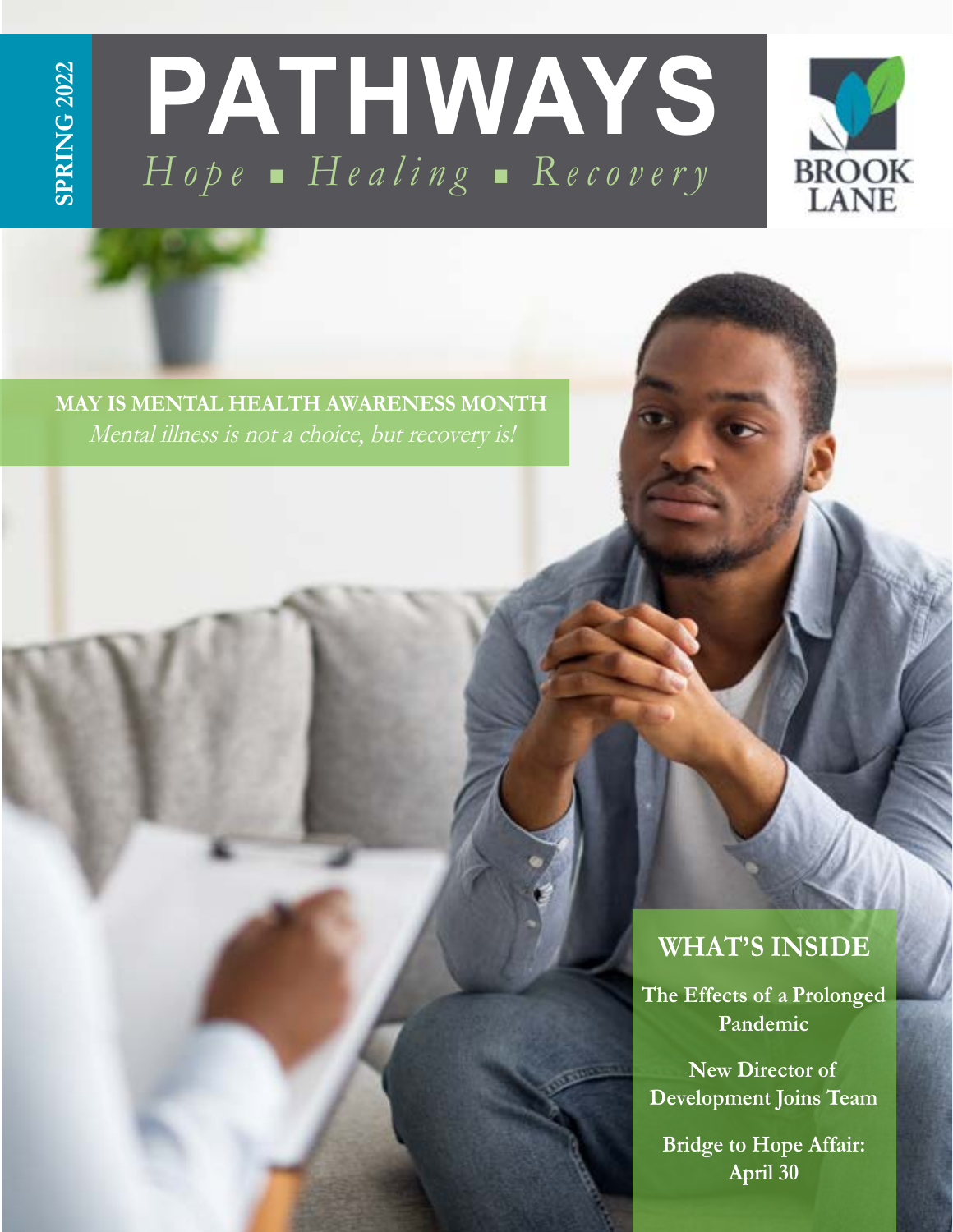# **SPRING 2022 SPRING 2022**





**MAY IS MENTAL HEALTH AWARENESS MONTH** Mental illness is not a choice, but recovery is!

### **WHAT'S INSIDE**

**The Effects of a Prolonged Pandemic** 

**New Director of Development Joins Team**

**Bridge to Hope Affair: April 30**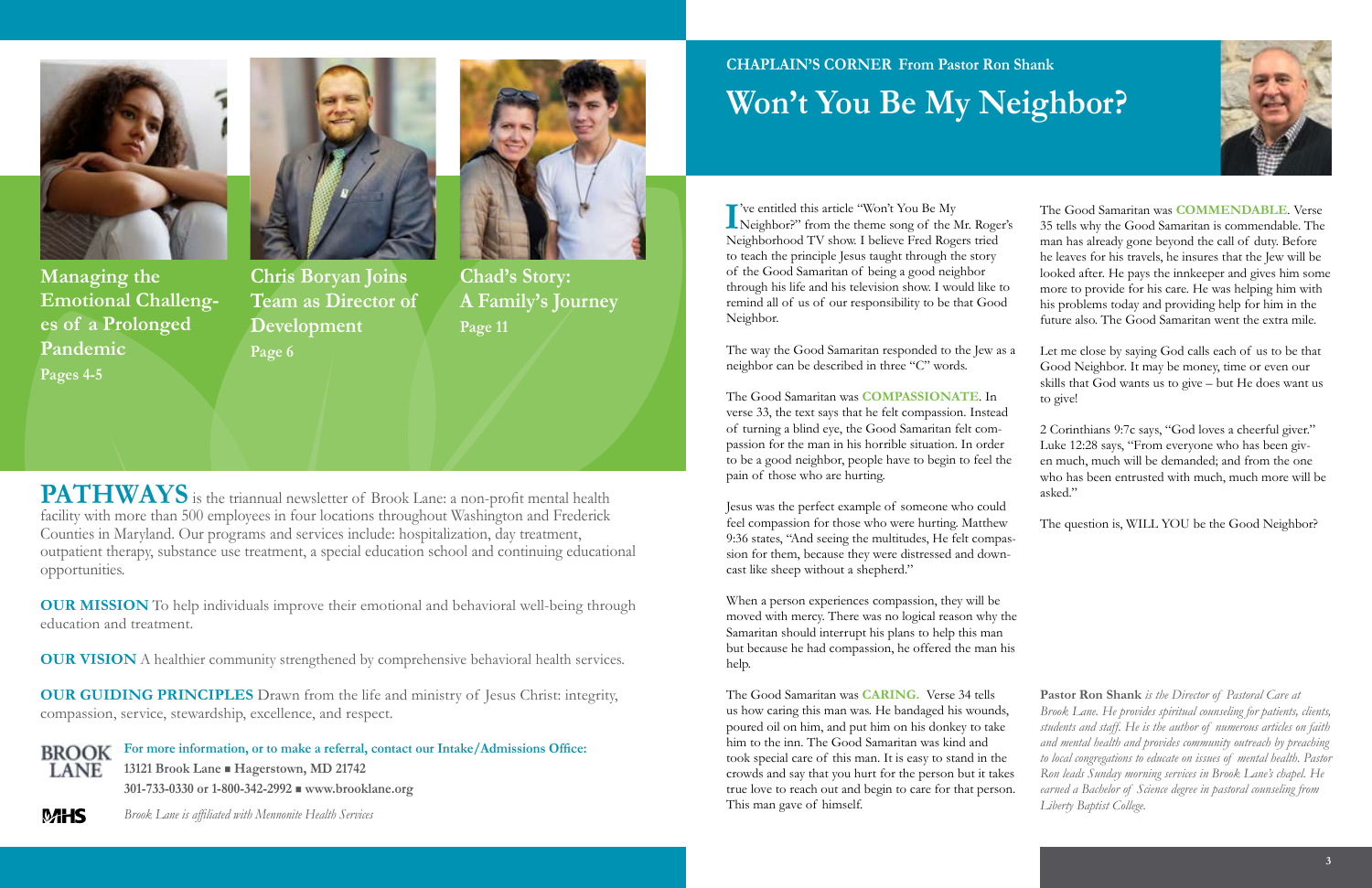**PATHWAYS** is the triannual newsletter of Brook Lane: a non-profit mental health facility with more than 500 employees in four locations throughout Washington and Frederick Counties in Maryland. Our programs and services include: hospitalization, day treatment, outpatient therapy, substance use treatment, a special education school and continuing educational opportunities.

**OUR MISSION** To help individuals improve their emotional and behavioral well-being through education and treatment.

**OUR VISION** A healthier community strengthened by comprehensive behavioral health services.

**OUR GUIDING PRINCIPLES** Drawn from the life and ministry of Jesus Christ: integrity, compassion, service, stewardship, excellence, and respect.

**For more information, or to make a referral, contact our Intake/Admissions Office: BROOK 13121 Brook Lane** n **Hagerstown, MD 21742 LANE** 

**CHAPLAIN'S CORNER From Pastor Ron Shank Won't You Be My Neighbor?**

I<sup>T</sup> ve entitled this article "Won't You Be My<br>
Neighbor?" from the theme song of the Mr. Roger's 've entitled this article "Won't You Be My Neighborhood TV show. I believe Fred Rogers tried to teach the principle Jesus taught through the story of the Good Samaritan of being a good neighbor through his life and his television show. I would like to remind all of us of our responsibility to be that Good Neighbor.

The way the Good Samaritan responded to the Jew as neighbor can be described in three "C" words.

**301-733-0330 or 1-800-342-2992** n **www.brooklane.org**

**MHS** 



**Managing the Emotional Challenges of a Prolonged Pandemic Pages 4-5**



**Chad's Story: A Family's Journey Page 11**



*Brook Lane is affiliated with Mennonite Health Services*

The Good Samaritan was **COMPASSIONATE**. In verse 33, the text says that he felt compassion. Instead of turning a blind eye, the Good Samaritan felt compassion for the man in his horrible situation. In order to be a good neighbor, people have to begin to feel the pain of those who are hurting.

Jesus was the perfect example of someone who could feel compassion for those who were hurting. Matthew 9:36 states, "And seeing the multitudes, He felt compassion for them, because they were distressed and downcast like sheep without a shepherd."

When a person experiences compassion, they will be moved with mercy. There was no logical reason why the Samaritan should interrupt his plans to help this man but because he had compassion, he offered the man his help.

The Good Samaritan was **CARING.** Verse 34 tells us how caring this man was. He bandaged his wounds, poured oil on him, and put him on his donkey to take him to the inn. The Good Samaritan was kind and took special care of this man. It is easy to stand in the crowds and say that you hurt for the person but it takes true love to reach out and begin to care for that person. This man gave of himself.



|    | The Good Samaritan was <b>COMMENDABLE</b> . Verse          |
|----|------------------------------------------------------------|
| 's | 35 tells why the Good Samaritan is commendable. The        |
|    | man has already gone beyond the call of duty. Before       |
|    | he leaves for his travels, he insures that the Jew will be |
|    | looked after. He pays the innkeeper and gives him some     |
|    | more to provide for his care. He was helping him with      |
|    | his problems today and providing help for him in the       |
|    | future also. The Good Samaritan went the extra mile.       |
|    |                                                            |
| a  | Let me close by saying God calls each of us to be that     |
|    | Good Neighbor. It may be money, time or even our           |
|    | skills that God wants us to give – but He does want us     |
|    | to give!                                                   |
|    |                                                            |
|    | 2 Corinthians 9:7c says, "God loves a cheerful giver."     |
|    | Luke 12:28 says, "From everyone who has been giv-          |
| ė  | en much, much will be demanded; and from the one           |
|    | who has been entrusted with much, much more will be        |
|    | asked."                                                    |
|    |                                                            |
|    | The question is, WILL YOU be the Good Neighbor?            |

**Pastor Ron Shank** *is the Director of Pastoral Care at Brook Lane. He provides spiritual counseling for patients, clients, students and staff. He is the author of numerous articles on faith and mental health and provides community outreach by preaching to local congregations to educate on issues of mental health. Pastor Ron leads Sunday morning services in Brook Lane's chapel. He earned a Bachelor of Science degree in pastoral counseling from Liberty Baptist College.*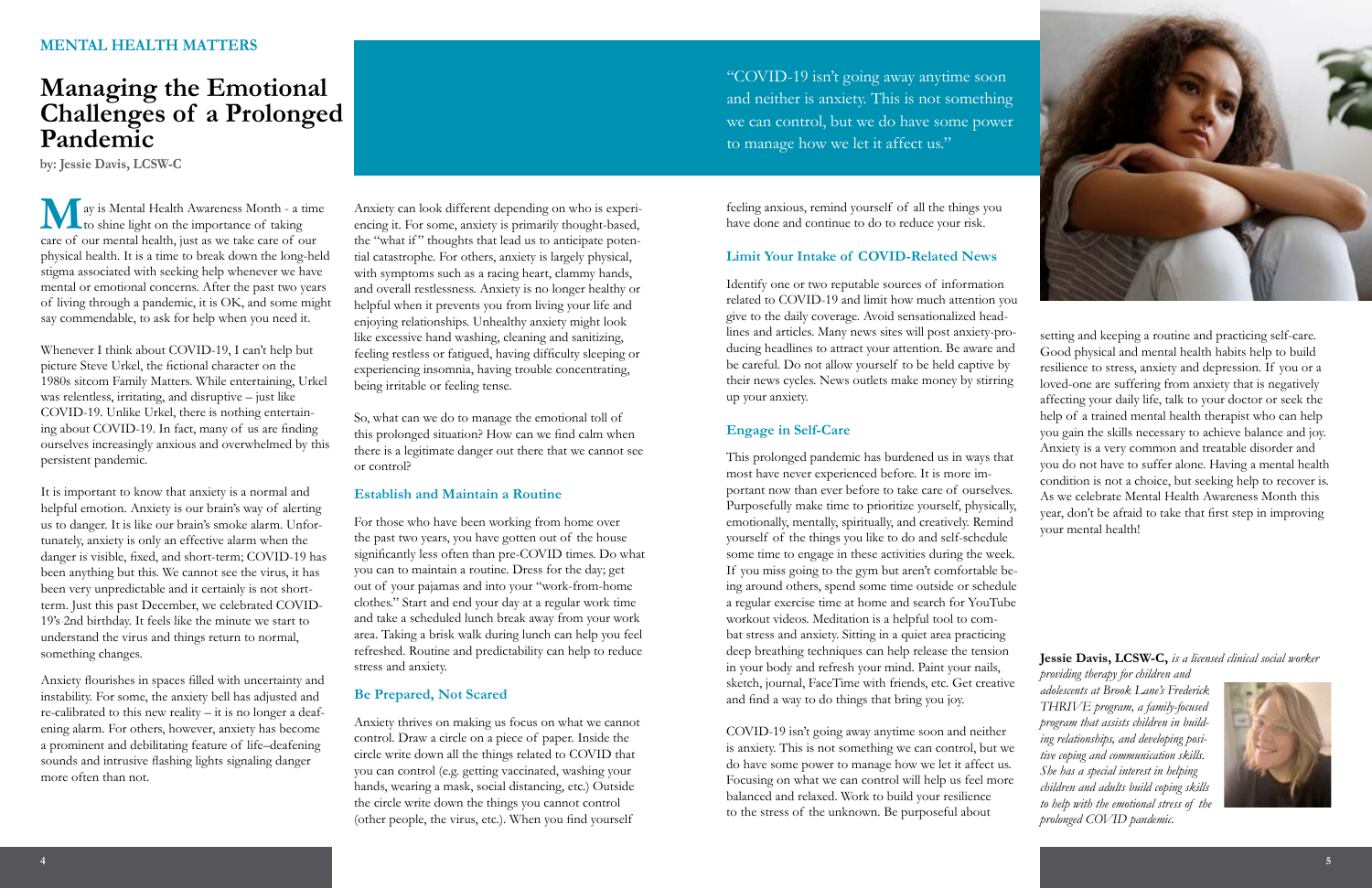



### **MENTAL HEALTH MATTERS**

### **Managing the Emotional Challenges of a Prolonged Pandemic**

**M** ay is Mental Health Awareness Month - a time<br>to shine light on the importance of taking<br>care of our mental health just as we take care of our to shine light on the importance of taking care of our mental health, just as we take care of our physical health. It is a time to break down the long-held stigma associated with seeking help whenever we have mental or emotional concerns. After the past two years of living through a pandemic, it is OK, and some might say commendable, to ask for help when you need it.

Whenever I think about COVID-19, I can't help but picture Steve Urkel, the fictional character on the 1980s sitcom Family Matters. While entertaining, Urkel was relentless, irritating, and disruptive – just like COVID-19. Unlike Urkel, there is nothing entertaining about COVID-19. In fact, many of us are finding ourselves increasingly anxious and overwhelmed by this persistent pandemic.

It is important to know that anxiety is a normal and helpful emotion. Anxiety is our brain's way of alerting us to danger. It is like our brain's smoke alarm. Unfortunately, anxiety is only an effective alarm when the danger is visible, fixed, and short-term; COVID-19 has been anything but this. We cannot see the virus, it has been very unpredictable and it certainly is not shortterm. Just this past December, we celebrated COVID-19's 2nd birthday. It feels like the minute we start to understand the virus and things return to normal, something changes.

Anxiety flourishes in spaces filled with uncertainty and instability. For some, the anxiety bell has adjusted and re-calibrated to this new reality – it is no longer a deafening alarm. For others, however, anxiety has become a prominent and debilitating feature of life–deafening sounds and intrusive flashing lights signaling danger more often than not.

Anxiety can look different depending on who is experiencing it. For some, anxiety is primarily thought-based, the "what if" thoughts that lead us to anticipate potential catastrophe. For others, anxiety is largely physical, with symptoms such as a racing heart, clammy hands, and overall restlessness. Anxiety is no longer healthy or helpful when it prevents you from living your life and enjoying relationships. Unhealthy anxiety might look like excessive hand washing, cleaning and sanitizing, feeling restless or fatigued, having difficulty sleeping or experiencing insomnia, having trouble concentrating, being irritable or feeling tense.

So, what can we do to manage the emotional toll of this prolonged situation? How can we find calm when there is a legitimate danger out there that we cannot see or control?

#### **Establish and Maintain a Routine**

For those who have been working from home over the past two years, you have gotten out of the house significantly less often than pre-COVID times. Do what you can to maintain a routine. Dress for the day; get out of your pajamas and into your "work-from-home clothes." Start and end your day at a regular work time and take a scheduled lunch break away from your work area. Taking a brisk walk during lunch can help you feel refreshed. Routine and predictability can help to reduce stress and anxiety.

#### **Be Prepared, Not Scared**

Anxiety thrives on making us focus on what we cannot control. Draw a circle on a piece of paper. Inside the circle write down all the things related to COVID that you can control (e.g. getting vaccinated, washing your hands, wearing a mask, social distancing, etc.) Outside the circle write down the things you cannot control (other people, the virus, etc.). When you find yourself

feeling anxious, remind yourself of all the things you have done and continue to do to reduce your risk.

#### **Limit Your Intake of COVID-Related News**

most have never experienced before. It is more important now than ever before to take care of ourselves. Purposefully make time to prioritize yourself, physically, emotionally, mentally, spiritually, and creatively. Remind yourself of the things you like to do and self-schedule some time to engage in these activities during the week. If you miss going to the gym but aren't comfortable being around others, spend some time outside or schedule a regular exercise time at home and search for YouTube workout videos. Meditation is a helpful tool to combat stress and anxiety. Sitting in a quiet area practicing deep breathing techniques can help release the tension in your body and refresh your mind. Paint your nails, sketch, journal, FaceTime with friends, etc. Get creative and find a way to do things that bring you joy.

Identify one or two reputable sources of information related to COVID-19 and limit how much attention you give to the daily coverage. Avoid sensationalized headlines and articles. Many news sites will post anxiety-producing headlines to attract your attention. Be aware and be careful. Do not allow yourself to be held captive by their news cycles. News outlets make money by stirring up your anxiety. **Engage in Self-Care** This prolonged pandemic has burdened us in ways that setting and keeping a routine and practicing self-care. Good physical and mental health habits help to build resilience to stress, anxiety and depression. If you or a loved-one are suffering from anxiety that is negatively affecting your daily life, talk to your doctor or seek the help of a trained mental health therapist who can help you gain the skills necessary to achieve balance and joy. Anxiety is a very common and treatable disorder and you do not have to suffer alone. Having a mental health condition is not a choice, but seeking help to recover is. As we celebrate Mental Health Awareness Month this year, don't be afraid to take that first step in improving your mental health!

COVID-19 isn't going away anytime soon and neither is anxiety. This is not something we can control, but we do have some power to manage how we let it affect us. Focusing on what we can control will help us feel more balanced and relaxed. Work to build your resilience to the stress of the unknown. Be purposeful about

#### **Jessie Davis, LCSW-C,** *is a licensed clinical social worker*

*providing therapy for children and adolescents at Brook Lane's Frederick THRIVE program, a family-focused program that assists children in building relationships, and developing positive coping and communication skills. She has a special interest in helping children and adults build coping skills to help with the emotional stress of the prolonged COVID pandemic.*



**by: Jessie Davis, LCSW-C**

"COVID-19 isn't going away anytime soon and neither is anxiety. This is not something we can control, but we do have some power to manage how we let it affect us."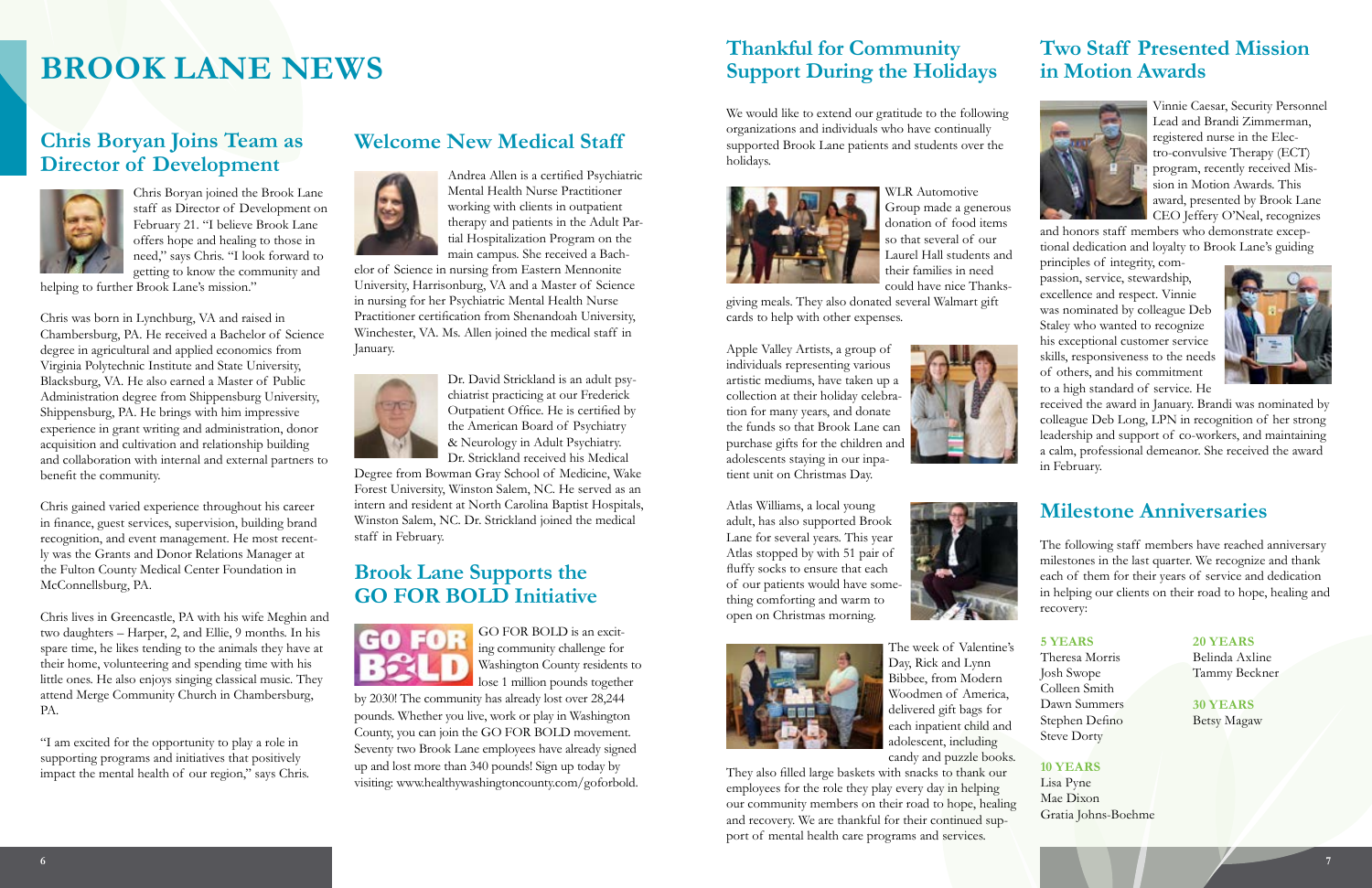### **Chris Boryan Joins Team as Director of Development**



Chris Boryan joined the Brook Lane staff as Director of Development on February 21. "I believe Brook Lane offers hope and healing to those in need," says Chris. "I look forward to getting to know the community and

helping to further Brook Lane's mission."

Chris was born in Lynchburg, VA and raised in Chambersburg, PA. He received a Bachelor of Science degree in agricultural and applied economics from Virginia Polytechnic Institute and State University, Blacksburg, VA. He also earned a Master of Public Administration degree from Shippensburg University, Shippensburg, PA. He brings with him impressive experience in grant writing and administration, donor acquisition and cultivation and relationship building and collaboration with internal and external partners to benefit the community.

Chris gained varied experience throughout his career in finance, guest services, supervision, building brand recognition, and event management. He most recently was the Grants and Donor Relations Manager at the Fulton County Medical Center Foundation in McConnellsburg, PA.

Chris lives in Greencastle, PA with his wife Meghin and two daughters – Harper, 2, and Ellie, 9 months. In his spare time, he likes tending to the animals they have at their home, volunteering and spending time with his little ones. He also enjoys singing classical music. They attend Merge Community Church in Chambersburg, PA.

GO FOR BOLD is an exciting community challenge for Washington County residents to lose 1 million pounds together

"I am excited for the opportunity to play a role in supporting programs and initiatives that positively impact the mental health of our region," says Chris.

### **Welcome New Medical Staff**



Andrea Allen is a certified Psychiatric Mental Health Nurse Practitioner working with clients in outpatient therapy and patients in the Adult Partial Hospitalization Program on the main campus. She received a Bach-

elor of Science in nursing from Eastern Mennonite University, Harrisonburg, VA and a Master of Science in nursing for her Psychiatric Mental Health Nurse Practitioner certification from Shenandoah University, Winchester, VA. Ms. Allen joined the medical staff in January.



Dr. David Strickland is an adult psychiatrist practicing at our Frederick Outpatient Office. He is certified by the American Board of Psychiatry & Neurology in Adult Psychiatry. Dr. Strickland received his Medical

Degree from Bowman Gray School of Medicine, Wake Forest University, Winston Salem, NC. He served as an intern and resident at North Carolina Baptist Hospitals, Winston Salem, NC. Dr. Strickland joined the medical staff in February.

### **Brook Lane Supports the GO FOR BOLD Initiative**



by 2030! The community has already lost over 28,244 pounds. Whether you live, work or play in Washington County, you can join the GO FOR BOLD movement. Seventy two Brook Lane employees have already signed up and lost more than 340 pounds! Sign up today by visiting: www.healthywashingtoncounty.com/goforbold.

### **Thankful for Community Support During the Holidays**

We would like to extend our gratitude to the following organizations and individuals who have continually supported Brook Lane patients and students over the holidays.



WLR Automotive Group made a generous donation of food items so that several of our Laurel Hall students and their families in need could have nice Thanks-

giving meals. They also donated several Walmart gift cards to help with other expenses.

Apple Valley Artists, a group of individuals representing various artistic mediums, have taken up a collection at their holiday celebration for many years, and donate the funds so that Brook Lane can purchase gifts for the children and adolescents staying in our inpatient unit on Christmas Day.



Atlas Williams, a local young adult, has also supported Brook Lane for several years. This year Atlas stopped by with 51 pair of fluffy socks to ensure that each of our patients would have something comforting and warm to open on Christmas morning.





The week of Valentine's Day, Rick and Lynn Bibbee, from Modern Woodmen of America, delivered gift bags for each inpatient child and adolescent, including candy and puzzle books.

They also filled large baskets with snacks to thank our employees for the role they play every day in helping our community members on their road to hope, healing and recovery. We are thankful for their continued support of mental health care programs and services.

### **Two Staff Presented Mission in Motion Awards**



Vinnie Caesar, Security Personnel Lead and Brandi Zimmerman, registered nurse in the Electro-convulsive Therapy (ECT) program, recently received Mission in Motion Awards. This award, presented by Brook Lane CEO Jeffery O'Neal, recognizes

and honors staff members who demonstrate exceptional dedication and loyalty to Brook Lane's guiding

principles of integrity, compassion, service, stewardship, excellence and respect. Vinnie was nominated by colleague Deb Staley who wanted to recognize his exceptional customer service skills, responsiveness to the needs of others, and his commitment to a high standard of service. He



received the award in January. Brandi was nominated by colleague Deb Long, LPN in recognition of her strong leadership and support of co-workers, and maintaining a calm, professional demeanor. She received the award in February.

### **Milestone Anniversaries**

The following staff members have reached anniversary milestones in the last quarter. We recognize and thank each of them for their years of service and dedication in helping our clients on their road to hope, healing and recovery:

# **BROOK LANE NEWS**

#### **5 YEARS**

Theresa Morris Josh Swope Colleen Smith Dawn Summers Stephen Defino Steve Dorty

#### **10 YEARS**

Lisa Pyne Mae Dixon Gratia Johns-Boehme

#### **20 YEARS**

Belinda Axline Tammy Beckner

**30 YEARS** Betsy Magaw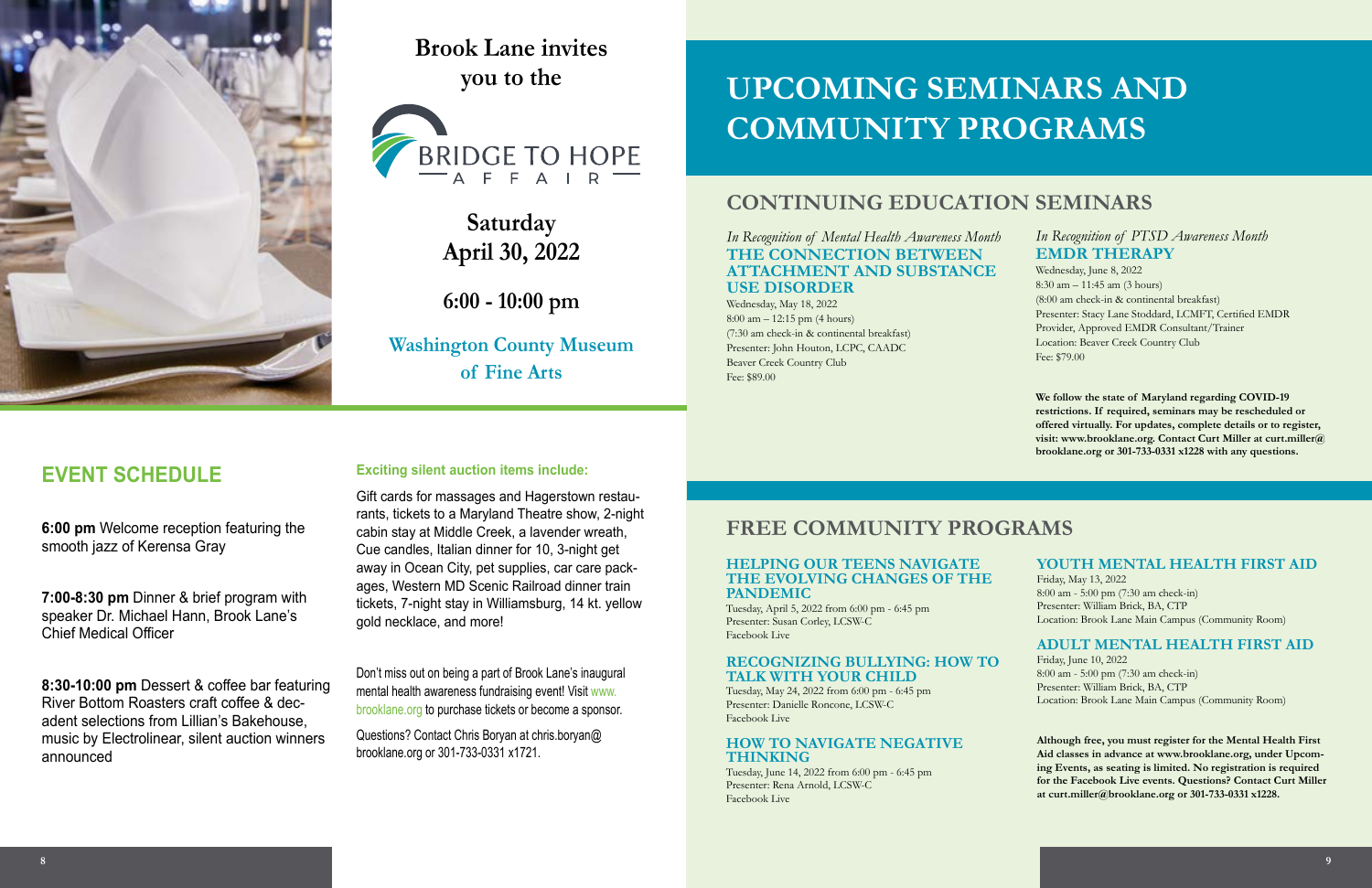# **UPCOMING SEMINARS AND COMMUNITY PROGRAMS**

### **CONTINUING EDUCATION SEMINARS**

### **FREE COMMUNITY PROGRAMS**

*In Recognition of Mental Health Awareness Month* **THE CONNECTION BETWEEN ATTACHMENT AND SUBSTANCE USE DISORDER**

Wednesday, May 18, 2022 8:00 am – 12:15 pm (4 hours) (7:30 am check-in & continental breakfast) Presenter: John Houton, LCPC, CAADC Beaver Creek Country Club Fee: \$89.00

### *In Recognition of PTSD Awareness Month* **EMDR THERAPY**

Wednesday, June 8, 2022 8:30 am – 11:45 am (3 hours) (8:00 am check-in & continental breakfast) Presenter: Stacy Lane Stoddard, LCMFT, Certified EMDR Provider, Approved EMDR Consultant/Trainer Location: Beaver Creek Country Club Fee: \$79.00

**We follow the state of Maryland regarding COVID-19 restrictions. If required, seminars may be rescheduled or offered virtually. For updates, complete details or to register, visit: www.brooklane.org. Contact Curt Miller at curt.miller@ brooklane.org or 301-733-0331 x1228 with any questions.** 

### **HELPING OUR TEENS NAVIGATE THE EVOLVING CHANGES OF THE PANDEMIC**

Tuesday, April 5, 2022 from 6:00 pm - 6:45 pm Presenter: Susan Corley, LCSW-C Facebook Live

### **RECOGNIZING BULLYING: HOW TO TALK WITH YOUR CHILD**

Tuesday, May 24, 2022 from 6:00 pm - 6:45 pm Presenter: Danielle Roncone, LCSW-C Facebook Live

### **HOW TO NAVIGATE NEGATIVE THINKING**

Tuesday, June 14, 2022 from 6:00 pm - 6:45 pm Presenter: Rena Arnold, LCSW-C Facebook Live

### **YOUTH MENTAL HEALTH FIRST AID**

Friday, May 13, 2022 8:00 am - 5:00 pm (7:30 am check-in) Presenter: William Brick, BA, CTP Location: Brook Lane Main Campus (Community Room)

### **ADULT MENTAL HEALTH FIRST AID**

Friday, June 10, 2022 8:00 am - 5:00 pm (7:30 am check-in) Presenter: William Brick, BA, CTP Location: Brook Lane Main Campus (Community Room)

**Although free, you must register for the Mental Health First Aid classes in advance at www.brooklane.org, under Upcoming Events, as seating is limited. No registration is required for the Facebook Live events. Questions? Contact Curt Miller at curt.miller@brooklane.org or 301-733-0331 x1228.** 

### **EVENT SCHEDULE**

**6:00 pm** Welcome reception featuring the smooth jazz of Kerensa Gray

**7:00-8:30 pm** Dinner & brief program with speaker Dr. Michael Hann, Brook Lane's Chief Medical Officer

**8:30-10:00 pm** Dessert & coffee bar featuring River Bottom Roasters craft coffee & decadent selections from Lillian's Bakehouse, music by Electrolinear, silent auction winners announced

### **Exciting silent auction items include:**

Gift cards for massages and Hagerstown restaurants, tickets to a Maryland Theatre show, 2-night cabin stay at Middle Creek, a lavender wreath, Cue candles, Italian dinner for 10, 3-night get away in Ocean City, pet supplies, car care packages, Western MD Scenic Railroad dinner train tickets, 7-night stay in Williamsburg, 14 kt. yellow gold necklace, and more!

Don't miss out on being a part of Brook Lane's inaugural mental health awareness fundraising event! Visit www. brooklane.org to purchase tickets or become a sponsor.

Questions? Contact Chris Boryan at chris.boryan@ brooklane.org or 301-733-0331 x1721.



**Brook Lane invites you to the** 



**Saturday April 30, 2022**

**6:00 - 10:00 pm**

**Washington County Museum of Fine Arts**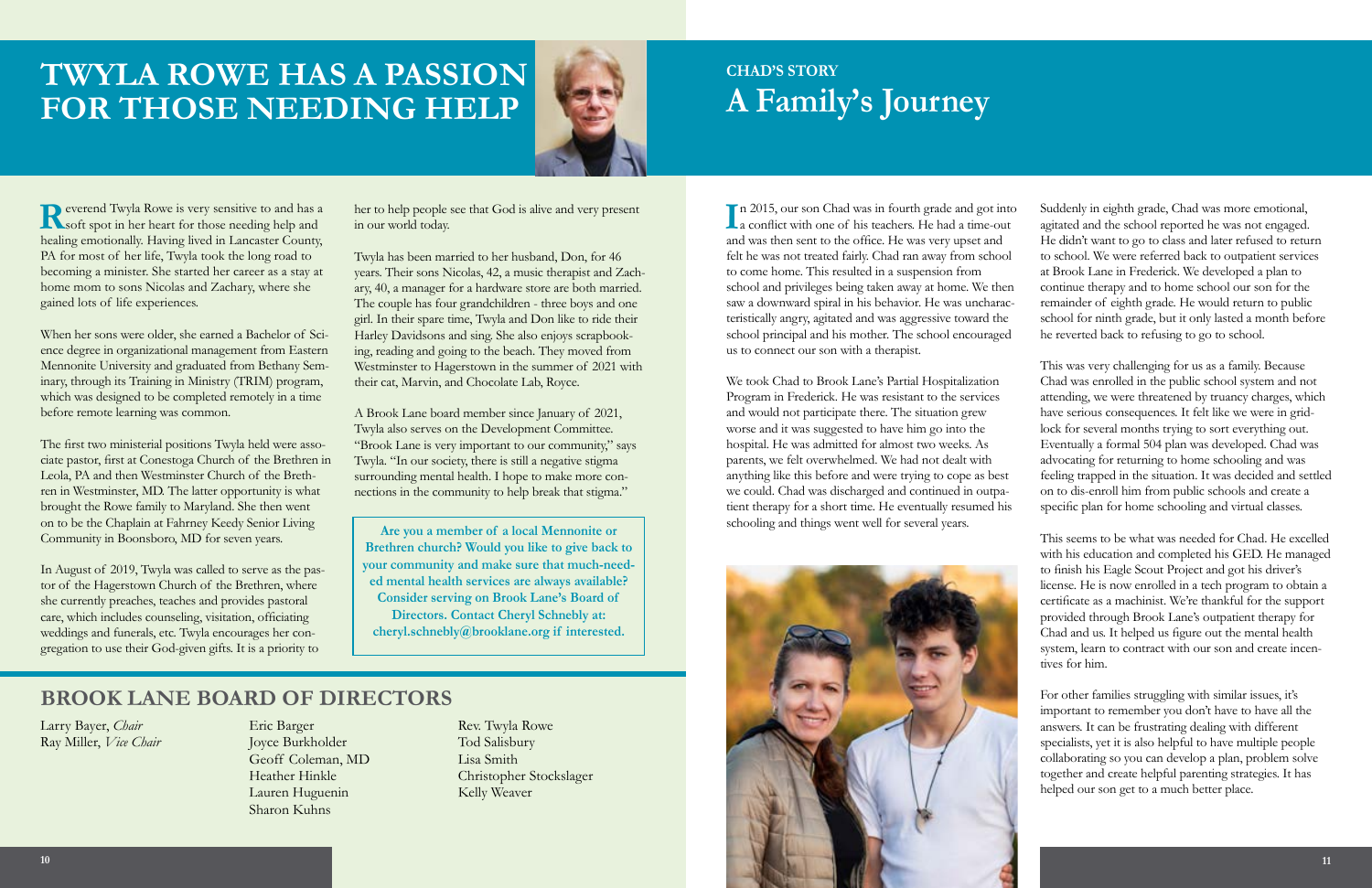# **TWYLA ROWE HAS A PASSION FOR THOSE NEEDING HELP**



We took Chad to Brook Lane's Partial Hospitalization Program in Frederick. He was resistant to the services and would not participate there. The situation grew worse and it was suggested to have him go into the hospital. He was admitted for almost two weeks. As parents, we felt overwhelmed. We had not dealt with anything like this before and were trying to cope as best we could. Chad was discharged and continued in outpatient therapy for a short time. He eventually resumed his schooling and things went well for several years.



**Reverend Twyla Rowe is very sensitive to and has a N** soft spot in her heart for those needing help and healing emotionally. Having lived in Lancaster County, PA for most of her life, Twyla took the long road to becoming a minister. She started her career as a stay at home mom to sons Nicolas and Zachary, where she gained lots of life experiences.

Larry Bayer, *Chair* Ray Miller, *Vice Chair*

Eric Barger Joyce Burkholder Geoff Coleman, MD Heather Hinkle Lauren Huguenin Sharon Kuhns

Rev. Twyla Rowe Tod Salisbury Lisa Smith Christopher Stockslager Kelly Weaver

### **BROOK LANE BOARD OF DIRECTORS**

When her sons were older, she earned a Bachelor of Science degree in organizational management from Eastern Mennonite University and graduated from Bethany Seminary, through its Training in Ministry (TRIM) program, which was designed to be completed remotely in a time before remote learning was common.

In 2015, our son Chad was in fourth grade and got into<br>a conflict with one of his teachers. He had a time-out In 2015, our son Chad was in fourth grade and got into and was then sent to the office. He was very upset and felt he was not treated fairly. Chad ran away from school to come home. This resulted in a suspension from school and privileges being taken away at home. We then saw a downward spiral in his behavior. He was uncharacteristically angry, agitated and was aggressive toward the school principal and his mother. The school encouraged us to connect our son with a therapist. Suddenly in eighth grade, Chad was more emotional, agitated and the school reported he was not engaged. He didn't want to go to class and later refused to return to school. We were referred back to outpatient services at Brook Lane in Frederick. We developed a plan to continue therapy and to home school our son for the remainder of eighth grade. He would return to public school for ninth grade, but it only lasted a month before he reverted back to refusing to go to school.

The first two ministerial positions Twyla held were associate pastor, first at Conestoga Church of the Brethren in Leola, PA and then Westminster Church of the Brethren in Westminster, MD. The latter opportunity is what brought the Rowe family to Maryland. She then went on to be the Chaplain at Fahrney Keedy Senior Living Community in Boonsboro, MD for seven years.

In August of 2019, Twyla was called to serve as the pastor of the Hagerstown Church of the Brethren, where she currently preaches, teaches and provides pastoral care, which includes counseling, visitation, officiating weddings and funerals, etc. Twyla encourages her congregation to use their God-given gifts. It is a priority to

her to help people see that God is alive and very present in our world today.

Twyla has been married to her husband, Don, for 46 years. Their sons Nicolas, 42, a music therapist and Zachary, 40, a manager for a hardware store are both married. The couple has four grandchildren - three boys and one girl. In their spare time, Twyla and Don like to ride their Harley Davidsons and sing. She also enjoys scrapbooking, reading and going to the beach. They moved from Westminster to Hagerstown in the summer of 2021 with their cat, Marvin, and Chocolate Lab, Royce.

A Brook Lane board member since January of 2021, Twyla also serves on the Development Committee. "Brook Lane is very important to our community," says Twyla. "In our society, there is still a negative stigma surrounding mental health. I hope to make more connections in the community to help break that stigma."

This was very challenging for us as a family. Because Chad was enrolled in the public school system and not attending, we were threatened by truancy charges, which have serious consequences. It felt like we were in gridlock for several months trying to sort everything out. Eventually a formal 504 plan was developed. Chad was advocating for returning to home schooling and was feeling trapped in the situation. It was decided and settled on to dis-enroll him from public schools and create a specific plan for home schooling and virtual classes.

This seems to be what was needed for Chad. He excelled with his education and completed his GED. He managed to finish his Eagle Scout Project and got his driver's license. He is now enrolled in a tech program to obtain a certificate as a machinist. We're thankful for the support provided through Brook Lane's outpatient therapy for Chad and us. It helped us figure out the mental health system, learn to contract with our son and create incentives for him.

For other families struggling with similar issues, it's important to remember you don't have to have all the answers. It can be frustrating dealing with different specialists, yet it is also helpful to have multiple people collaborating so you can develop a plan, problem solve together and create helpful parenting strategies. It has helped our son get to a much better place.

## **CHAD'S STORY A Family's Journey**

**Are you a member of a local Mennonite or Brethren church? Would you like to give back to your community and make sure that much-needed mental health services are always available? Consider serving on Brook Lane's Board of Directors. Contact Cheryl Schnebly at: cheryl.schnebly@brooklane.org if interested.**